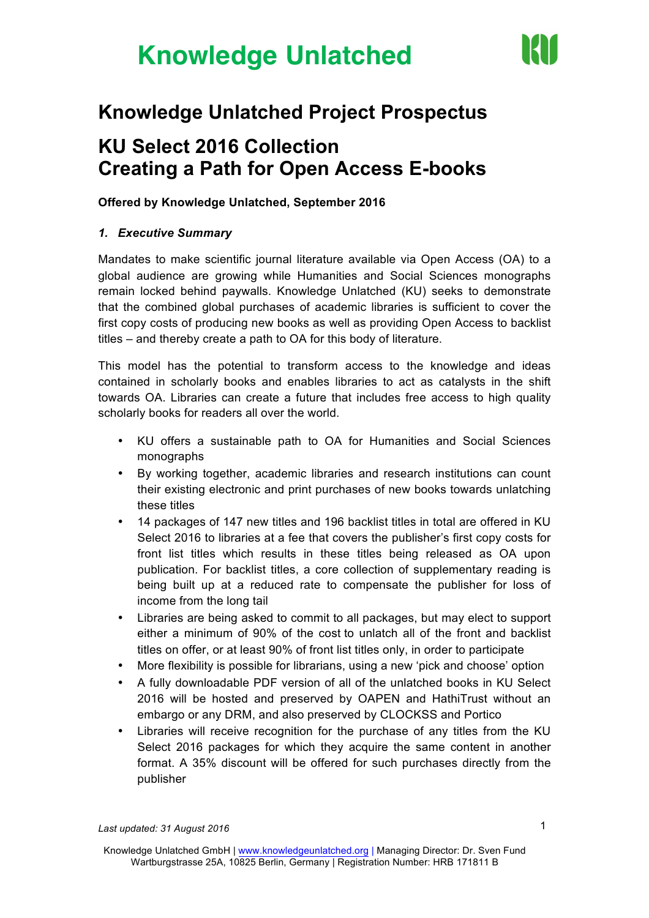

### **Knowledge Unlatched Project Prospectus**

### **KU Select 2016 Collection Creating a Path for Open Access E-books**

#### **Offered by Knowledge Unlatched, September 2016**

#### *1. Executive Summary*

Mandates to make scientific journal literature available via Open Access (OA) to a global audience are growing while Humanities and Social Sciences monographs remain locked behind paywalls. Knowledge Unlatched (KU) seeks to demonstrate that the combined global purchases of academic libraries is sufficient to cover the first copy costs of producing new books as well as providing Open Access to backlist titles – and thereby create a path to OA for this body of literature.

This model has the potential to transform access to the knowledge and ideas contained in scholarly books and enables libraries to act as catalysts in the shift towards OA. Libraries can create a future that includes free access to high quality scholarly books for readers all over the world.

- KU offers a sustainable path to OA for Humanities and Social Sciences monographs
- By working together, academic libraries and research institutions can count their existing electronic and print purchases of new books towards unlatching these titles
- 14 packages of 147 new titles and 196 backlist titles in total are offered in KU Select 2016 to libraries at a fee that covers the publisher's first copy costs for front list titles which results in these titles being released as OA upon publication. For backlist titles, a core collection of supplementary reading is being built up at a reduced rate to compensate the publisher for loss of income from the long tail
- Libraries are being asked to commit to all packages, but may elect to support either a minimum of 90% of the cost to unlatch all of the front and backlist titles on offer, or at least 90% of front list titles only, in order to participate
- More flexibility is possible for librarians, using a new 'pick and choose' option
- A fully downloadable PDF version of all of the unlatched books in KU Select 2016 will be hosted and preserved by OAPEN and HathiTrust without an embargo or any DRM, and also preserved by CLOCKSS and Portico
- Libraries will receive recognition for the purchase of any titles from the KU Select 2016 packages for which they acquire the same content in another format. A 35% discount will be offered for such purchases directly from the publisher

*Last updated: 31 August 2016*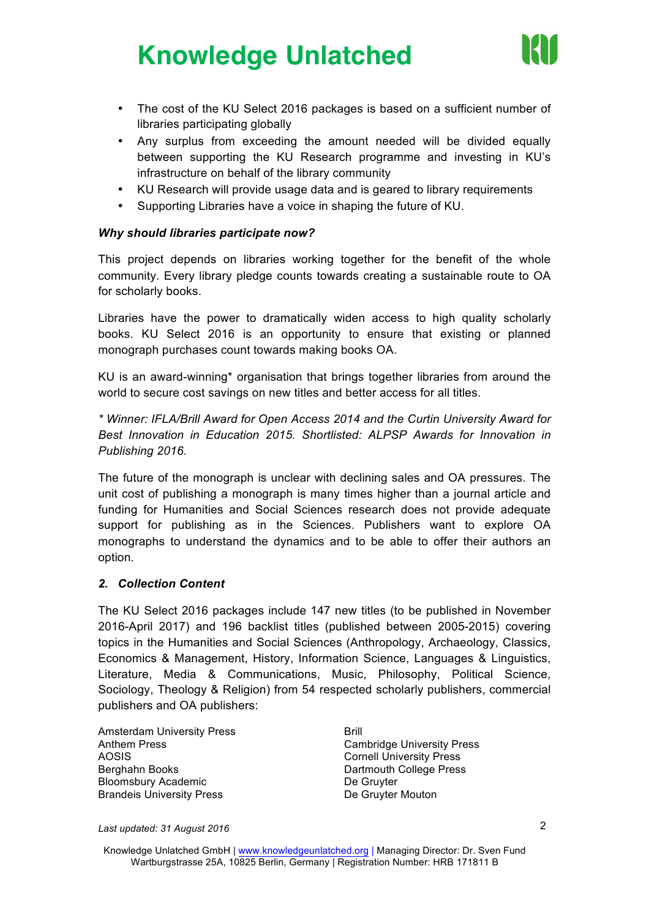

- The cost of the KU Select 2016 packages is based on a sufficient number of libraries participating globally
- Any surplus from exceeding the amount needed will be divided equally between supporting the KU Research programme and investing in KU's infrastructure on behalf of the library community
- KU Research will provide usage data and is geared to library requirements
- Supporting Libraries have a voice in shaping the future of KU.

#### *Why should libraries participate now?*

This project depends on libraries working together for the benefit of the whole community. Every library pledge counts towards creating a sustainable route to OA for scholarly books.

Libraries have the power to dramatically widen access to high quality scholarly books. KU Select 2016 is an opportunity to ensure that existing or planned monograph purchases count towards making books OA.

KU is an award-winning\* organisation that brings together libraries from around the world to secure cost savings on new titles and better access for all titles.

*\* Winner: IFLA/Brill Award for Open Access 2014 and the Curtin University Award for Best Innovation in Education 2015. Shortlisted: ALPSP Awards for Innovation in Publishing 2016.*

The future of the monograph is unclear with declining sales and OA pressures. The unit cost of publishing a monograph is many times higher than a journal article and funding for Humanities and Social Sciences research does not provide adequate support for publishing as in the Sciences. Publishers want to explore OA monographs to understand the dynamics and to be able to offer their authors an option.

#### *2. Collection Content*

The KU Select 2016 packages include 147 new titles (to be published in November 2016-April 2017) and 196 backlist titles (published between 2005-2015) covering topics in the Humanities and Social Sciences (Anthropology, Archaeology, Classics, Economics & Management, History, Information Science, Languages & Linguistics, Literature, Media & Communications, Music, Philosophy, Political Science, Sociology, Theology & Religion) from 54 respected scholarly publishers, commercial publishers and OA publishers:

Amsterdam University Press Anthem Press AOSIS Berghahn Books Bloomsbury Academic Brandeis University Press

Brill Cambridge University Press Cornell University Press Dartmouth College Press De Gruyter De Gruyter Mouton

*Last updated: 31 August 2016*

Knowledge Unlatched GmbH | www.knowledgeunlatched.org | Managing Director: Dr. Sven Fund Wartburgstrasse 25A, 10825 Berlin, Germany | Registration Number: HRB 171811 B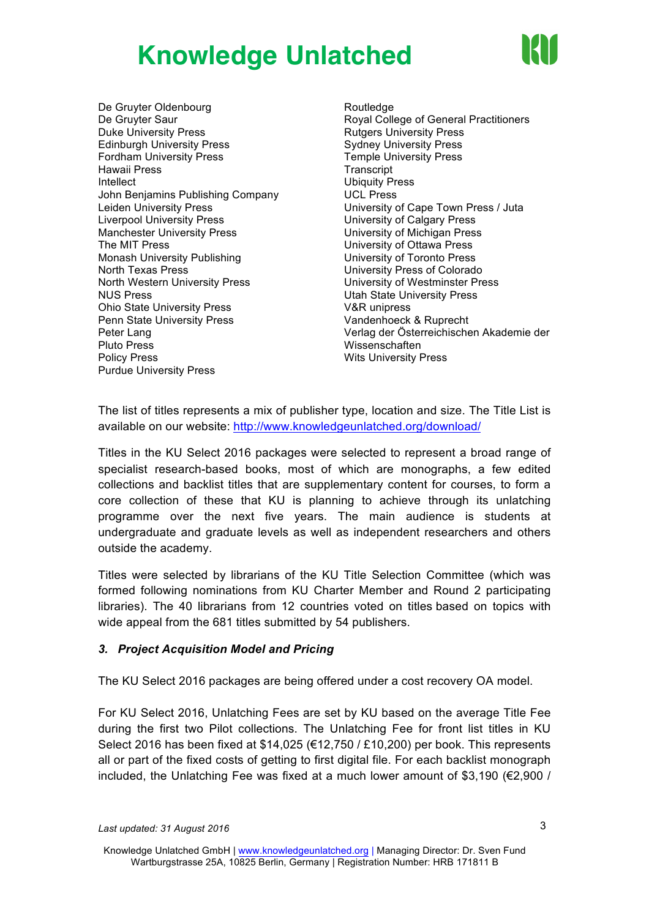

De Gruyter Oldenbourg De Gruyter Saur Duke University Press Edinburgh University Press Fordham University Press Hawaii Press Intellect John Benjamins Publishing Company Leiden University Press Liverpool University Press Manchester University Press The MIT Press Monash University Publishing North Texas Press North Western University Press NUS Press Ohio State University Press Penn State University Press Peter Lang Pluto Press Policy Press Purdue University Press

**Routledge** Royal College of General Practitioners Rutgers University Press Sydney University Press Temple University Press **Transcript** Ubiquity Press UCL Press University of Cape Town Press / Juta University of Calgary Press University of Michigan Press University of Ottawa Press University of Toronto Press University Press of Colorado University of Westminster Press Utah State University Press V&R unipress Vandenhoeck & Ruprecht Verlag der Österreichischen Akademie der Wissenschaften Wits University Press

The list of titles represents a mix of publisher type, location and size. The Title List is available on our website: http://www.knowledgeunlatched.org/download/

Titles in the KU Select 2016 packages were selected to represent a broad range of specialist research-based books, most of which are monographs, a few edited collections and backlist titles that are supplementary content for courses, to form a core collection of these that KU is planning to achieve through its unlatching programme over the next five years. The main audience is students at undergraduate and graduate levels as well as independent researchers and others outside the academy.

Titles were selected by librarians of the KU Title Selection Committee (which was formed following nominations from KU Charter Member and Round 2 participating libraries). The 40 librarians from 12 countries voted on titles based on topics with wide appeal from the 681 titles submitted by 54 publishers.

#### *3. Project Acquisition Model and Pricing*

The KU Select 2016 packages are being offered under a cost recovery OA model.

For KU Select 2016, Unlatching Fees are set by KU based on the average Title Fee during the first two Pilot collections. The Unlatching Fee for front list titles in KU Select 2016 has been fixed at \$14,025 (€12,750 / £10,200) per book. This represents all or part of the fixed costs of getting to first digital file. For each backlist monograph included, the Unlatching Fee was fixed at a much lower amount of \$3,190 (€2,900 /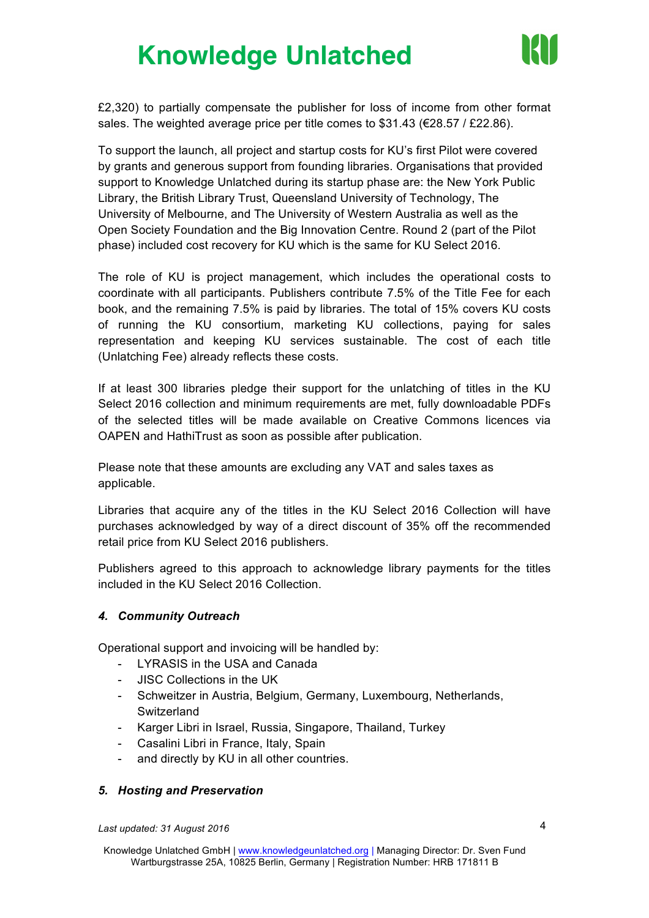

£2,320) to partially compensate the publisher for loss of income from other format sales. The weighted average price per title comes to \$31.43 (€28.57 / £22.86).

To support the launch, all project and startup costs for KU's first Pilot were covered by grants and generous support from founding libraries. Organisations that provided support to Knowledge Unlatched during its startup phase are: the New York Public Library, the British Library Trust, Queensland University of Technology, The University of Melbourne, and The University of Western Australia as well as the Open Society Foundation and the Big Innovation Centre. Round 2 (part of the Pilot phase) included cost recovery for KU which is the same for KU Select 2016.

The role of KU is project management, which includes the operational costs to coordinate with all participants. Publishers contribute 7.5% of the Title Fee for each book, and the remaining 7.5% is paid by libraries. The total of 15% covers KU costs of running the KU consortium, marketing KU collections, paying for sales representation and keeping KU services sustainable. The cost of each title (Unlatching Fee) already reflects these costs.

If at least 300 libraries pledge their support for the unlatching of titles in the KU Select 2016 collection and minimum requirements are met, fully downloadable PDFs of the selected titles will be made available on Creative Commons licences via OAPEN and HathiTrust as soon as possible after publication.

Please note that these amounts are excluding any VAT and sales taxes as applicable.

Libraries that acquire any of the titles in the KU Select 2016 Collection will have purchases acknowledged by way of a direct discount of 35% off the recommended retail price from KU Select 2016 publishers.

Publishers agreed to this approach to acknowledge library payments for the titles included in the KU Select 2016 Collection.

#### *4. Community Outreach*

Operational support and invoicing will be handled by:

- LYRASIS in the USA and Canada
- JISC Collections in the UK
- Schweitzer in Austria, Belgium, Germany, Luxembourg, Netherlands, **Switzerland**
- Karger Libri in Israel, Russia, Singapore, Thailand, Turkey
- Casalini Libri in France, Italy, Spain
- and directly by KU in all other countries.

#### *5. Hosting and Preservation*

*Last updated: 31 August 2016*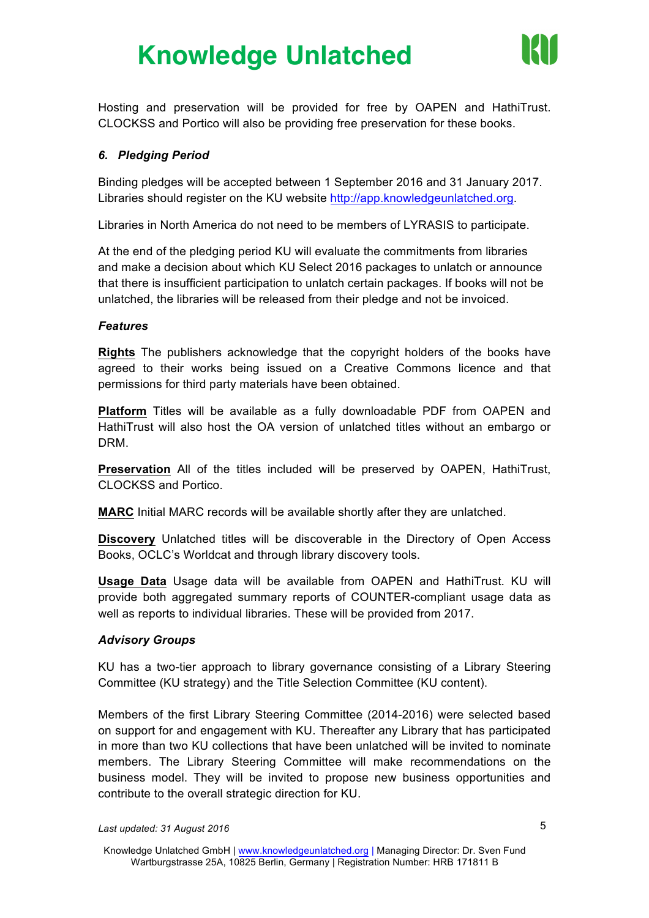

Hosting and preservation will be provided for free by OAPEN and HathiTrust. CLOCKSS and Portico will also be providing free preservation for these books.

#### *6. Pledging Period*

Binding pledges will be accepted between 1 September 2016 and 31 January 2017. Libraries should register on the KU website http://app.knowledgeunlatched.org.

Libraries in North America do not need to be members of LYRASIS to participate.

At the end of the pledging period KU will evaluate the commitments from libraries and make a decision about which KU Select 2016 packages to unlatch or announce that there is insufficient participation to unlatch certain packages. If books will not be unlatched, the libraries will be released from their pledge and not be invoiced.

#### *Features*

**Rights** The publishers acknowledge that the copyright holders of the books have agreed to their works being issued on a Creative Commons licence and that permissions for third party materials have been obtained.

**Platform** Titles will be available as a fully downloadable PDF from OAPEN and HathiTrust will also host the OA version of unlatched titles without an embargo or DRM.

**Preservation** All of the titles included will be preserved by OAPEN, HathiTrust, CLOCKSS and Portico.

**MARC** Initial MARC records will be available shortly after they are unlatched.

**Discovery** Unlatched titles will be discoverable in the Directory of Open Access Books, OCLC's Worldcat and through library discovery tools.

**Usage Data** Usage data will be available from OAPEN and HathiTrust. KU will provide both aggregated summary reports of COUNTER-compliant usage data as well as reports to individual libraries. These will be provided from 2017.

#### *Advisory Groups*

KU has a two-tier approach to library governance consisting of a Library Steering Committee (KU strategy) and the Title Selection Committee (KU content).

Members of the first Library Steering Committee (2014-2016) were selected based on support for and engagement with KU. Thereafter any Library that has participated in more than two KU collections that have been unlatched will be invited to nominate members. The Library Steering Committee will make recommendations on the business model. They will be invited to propose new business opportunities and contribute to the overall strategic direction for KU.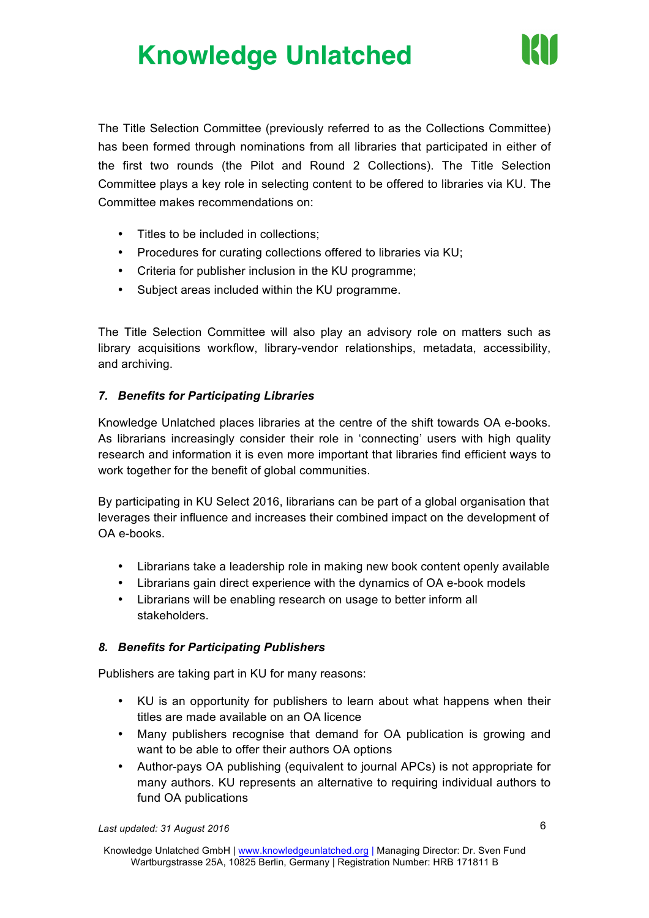

The Title Selection Committee (previously referred to as the Collections Committee) has been formed through nominations from all libraries that participated in either of the first two rounds (the Pilot and Round 2 Collections). The Title Selection Committee plays a key role in selecting content to be offered to libraries via KU. The Committee makes recommendations on:

- Titles to be included in collections;
- Procedures for curating collections offered to libraries via KU;
- Criteria for publisher inclusion in the KU programme;
- Subject areas included within the KU programme.

The Title Selection Committee will also play an advisory role on matters such as library acquisitions workflow, library-vendor relationships, metadata, accessibility, and archiving.

#### *7. Benefits for Participating Libraries*

Knowledge Unlatched places libraries at the centre of the shift towards OA e-books. As librarians increasingly consider their role in 'connecting' users with high quality research and information it is even more important that libraries find efficient ways to work together for the benefit of global communities.

By participating in KU Select 2016, librarians can be part of a global organisation that leverages their influence and increases their combined impact on the development of OA e-books.

- Librarians take a leadership role in making new book content openly available
- Librarians gain direct experience with the dynamics of OA e-book models
- Librarians will be enabling research on usage to better inform all stakeholders.

#### *8. Benefits for Participating Publishers*

Publishers are taking part in KU for many reasons:

- KU is an opportunity for publishers to learn about what happens when their titles are made available on an OA licence
- Many publishers recognise that demand for OA publication is growing and want to be able to offer their authors OA options
- Author-pays OA publishing (equivalent to journal APCs) is not appropriate for many authors. KU represents an alternative to requiring individual authors to fund OA publications

*Last updated: 31 August 2016*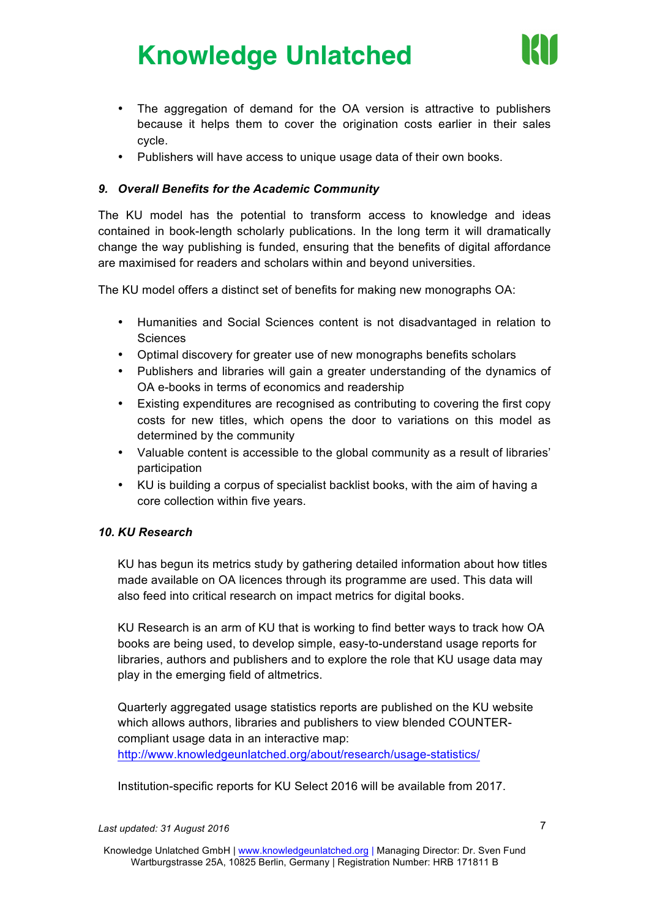

- The aggregation of demand for the OA version is attractive to publishers because it helps them to cover the origination costs earlier in their sales cycle.
- Publishers will have access to unique usage data of their own books.

#### *9. Overall Benefits for the Academic Community*

The KU model has the potential to transform access to knowledge and ideas contained in book-length scholarly publications. In the long term it will dramatically change the way publishing is funded, ensuring that the benefits of digital affordance are maximised for readers and scholars within and beyond universities.

The KU model offers a distinct set of benefits for making new monographs OA:

- Humanities and Social Sciences content is not disadvantaged in relation to **Sciences**
- Optimal discovery for greater use of new monographs benefits scholars
- Publishers and libraries will gain a greater understanding of the dynamics of OA e-books in terms of economics and readership
- Existing expenditures are recognised as contributing to covering the first copy costs for new titles, which opens the door to variations on this model as determined by the community
- Valuable content is accessible to the global community as a result of libraries' participation
- KU is building a corpus of specialist backlist books, with the aim of having a core collection within five years.

#### *10. KU Research*

KU has begun its metrics study by gathering detailed information about how titles made available on OA licences through its programme are used. This data will also feed into critical research on impact metrics for digital books.

KU Research is an arm of KU that is working to find better ways to track how OA books are being used, to develop simple, easy-to-understand usage reports for libraries, authors and publishers and to explore the role that KU usage data may play in the emerging field of altmetrics.

Quarterly aggregated usage statistics reports are published on the KU website which allows authors, libraries and publishers to view blended COUNTERcompliant usage data in an interactive map:

http://www.knowledgeunlatched.org/about/research/usage-statistics/

Institution-specific reports for KU Select 2016 will be available from 2017.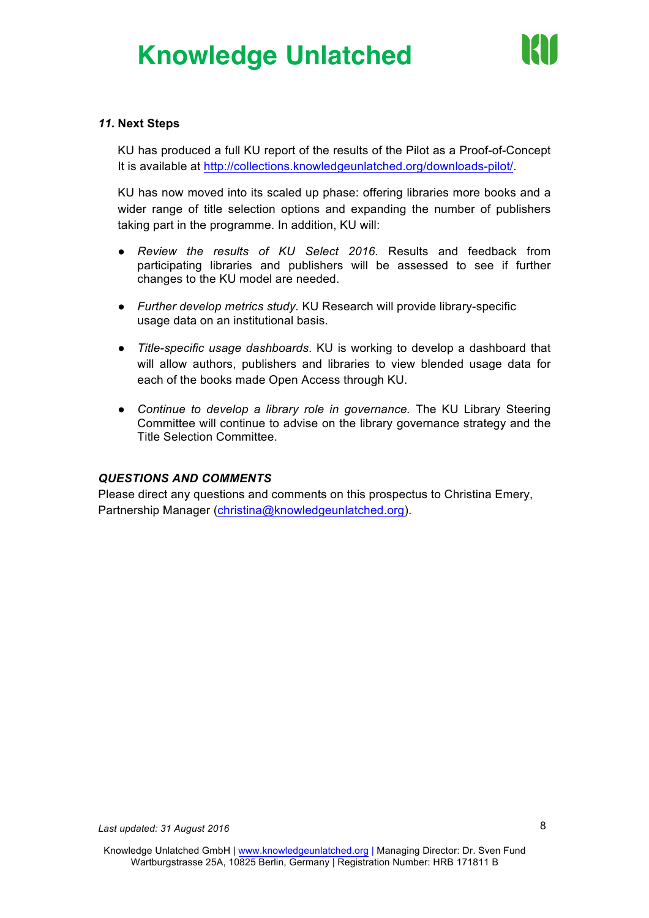

#### *11.* **Next Steps**

KU has produced a full KU report of the results of the Pilot as a Proof-of-Concept It is available at http://collections.knowledgeunlatched.org/downloads-pilot/.

KU has now moved into its scaled up phase: offering libraries more books and a wider range of title selection options and expanding the number of publishers taking part in the programme. In addition, KU will:

- *Review the results of KU Select 2016.* Results and feedback from participating libraries and publishers will be assessed to see if further changes to the KU model are needed.
- *Further develop metrics study.* KU Research will provide library-specific usage data on an institutional basis.
- *Title-specific usage dashboards*. KU is working to develop a dashboard that will allow authors, publishers and libraries to view blended usage data for each of the books made Open Access through KU.
- *Continue to develop a library role in governance.* The KU Library Steering Committee will continue to advise on the library governance strategy and the Title Selection Committee.

#### *QUESTIONS AND COMMENTS*

Please direct any questions and comments on this prospectus to Christina Emery, Partnership Manager (christina@knowledgeunlatched.org).